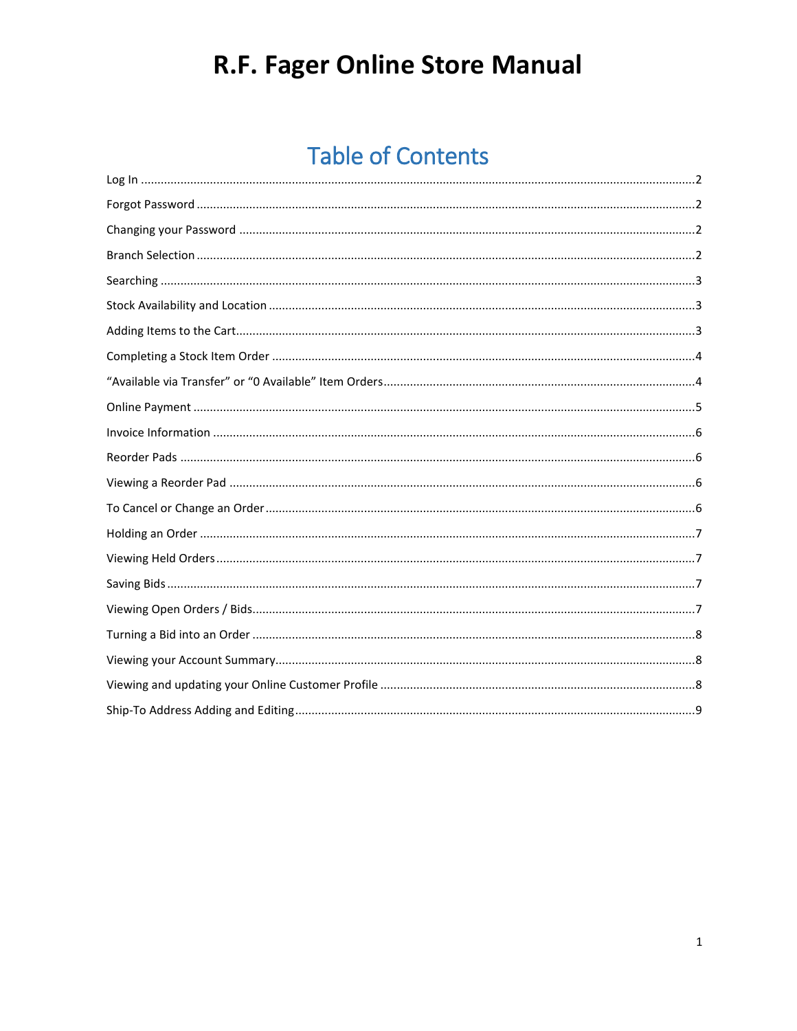### **Table of Contents**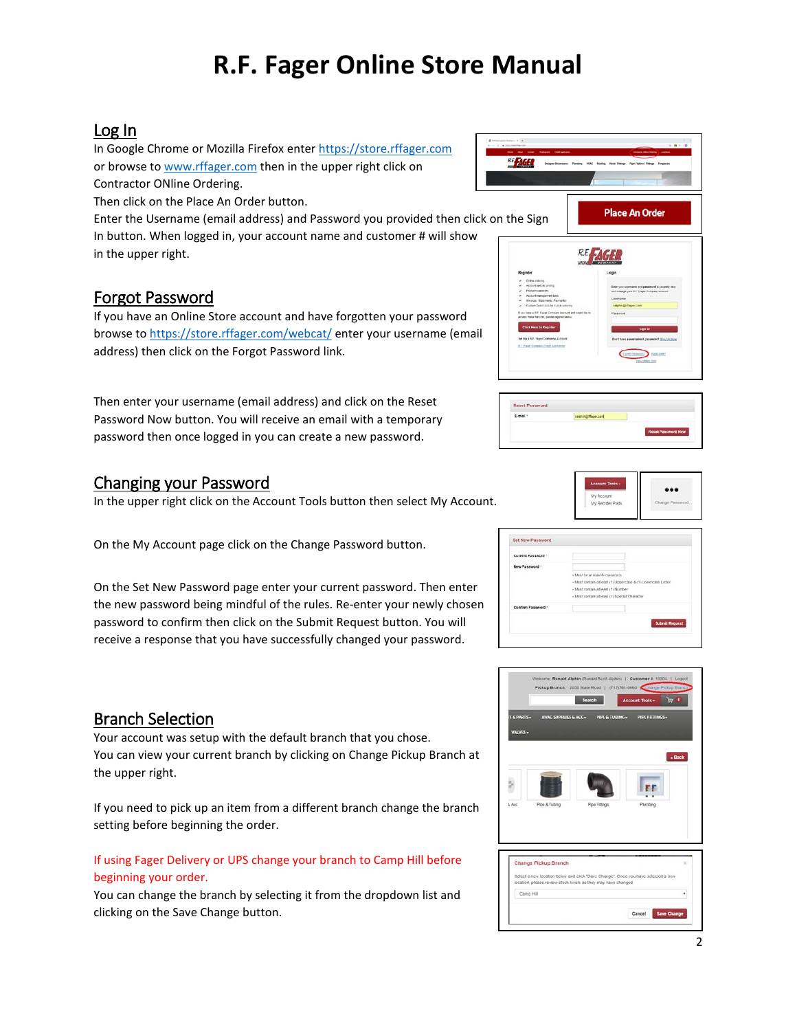### <span id="page-1-0"></span>Log In

In Google Chrome or Mozilla Firefox enter [https://store.rffager.com](https://store.rffager.com/webcat/) or browse to [www.rffager.com](http://www.rffager.com/) then in the upper right click on Contractor ONline Ordering.

Then click on the Place An Order button.

Enter the Username (email address) and Password you provided then click on the Sign In button. When logged in, your account name and customer # will show in the upper right.

### <span id="page-1-1"></span>Forgot Password

If you have an Online Store account and have forgotten your password browse to<https://store.rffager.com/webcat/> enter your username (email address) then click on the Forgot Password link.

Then enter your username (email address) and click on the Reset Password Now button. You will receive an email with a temporary password then once logged in you can create a new password.

### <span id="page-1-2"></span>Changing your Password

In the upper right click on the Account Tools button then select My Account.

On the My Account page click on the Change Password button.

On the Set New Password page enter your current password. Then enter the new password being mindful of the rules. Re-enter your newly chosen password to confirm then click on the Submit Request button. You will receive a response that you have successfully changed your password.

### <span id="page-1-3"></span>Branch Selection

Your account was setup with the default branch that you chose. You can view your current branch by clicking on Change Pickup Branch at the upper right.

If you need to pick up an item from a different branch change the branch setting before beginning the order.

#### If using Fager Delivery or UPS change your branch to Camp Hill before beginning your order.

You can change the branch by selecting it from the dropdown list and clicking on the Save Change button.



| sauting/flasecont |                    |
|-------------------|--------------------|
|                   |                    |
|                   | Reset Password Now |



| Current Password - |                                                              |
|--------------------|--------------------------------------------------------------|
| New Password *     |                                                              |
|                    | . Must be at least 8 crassciers                              |
|                    | - Must contain at least (1) Uppercase & (1) Lowercase Letter |
|                    | - Must contain at least (1) Number                           |
|                    | « Must contain at least (1) Special Character                |
| Confirm Password   |                                                              |
|                    | <b>Sutenit Request</b>                                       |

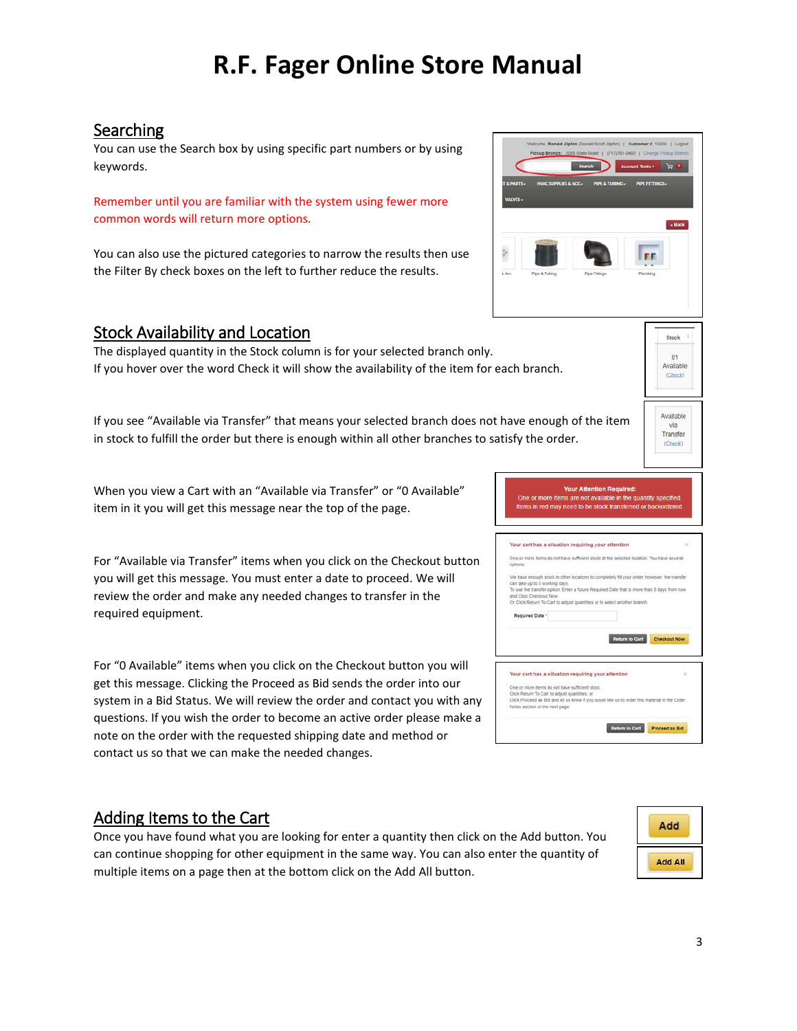### <span id="page-2-0"></span>Searching

You can use the Search box by using specific part numbers or by using keywords.

Remember until you are familiar with the system using fewer more common words will return more options.

You can also use the pictured categories to narrow the results then use the Filter By check boxes on the left to further reduce the results.

#### <span id="page-2-1"></span>Stock Availability and Location

The displayed quantity in the Stock column is for your selected branch only. If you hover over the word Check it will show the availability of the item for each branch.

If you see "Available via Transfer" that means your selected branch does not have enough of the item in stock to fulfill the order but there is enough within all other branches to satisfy the order.

When you view a Cart with an "Available via Transfer" or "0 Available" item in it you will get this message near the top of the page.

For "Available via Transfer" items when you click on the Checkout button you will get this message. You must enter a date to proceed. We will review the order and make any needed changes to transfer in the required equipment.

For "0 Available" items when you click on the Checkout button you will get this message. Clicking the Proceed as Bid sends the order into our system in a Bid Status. We will review the order and contact you with any questions. If you wish the order to become an active order please make a note on the order with the requested shipping date and method or contact us so that we can make the needed changes.

#### **Your Attention Re** One or more items are not available in the quantity specified Items in red may need to be stock transfe Your cart has a situation requiring your attention One or more items do not have sufficient stock at the selected location. 5 working days.<br>sfer option, Enter a future Required Date that is more than 5 days fro To use the tran and Click Checkout Now<br>Or Click Return To Cart to adjust quantities or to select another branch **Required Date** Return to Cart Checkout Now Your cart has a situation requiring your attention .<br>Allema do not have suffici Click Return To Carl to adjust quantities, or<br>Click Return To Carl to adjust quantities, or<br>Click Proceed as Bid and let us know if you would like us to order this material in the O Notes section of the next page Return to Cart Proceed as Bid

### <span id="page-2-2"></span>Adding Items to the Cart

Once you have found what you are looking for enter a quantity then click on the Add button. You can continue shopping for other equipment in the same way. You can also enter the quantity of multiple items on a page then at the bottom click on the Add All button.







.<br>Stock 81 Available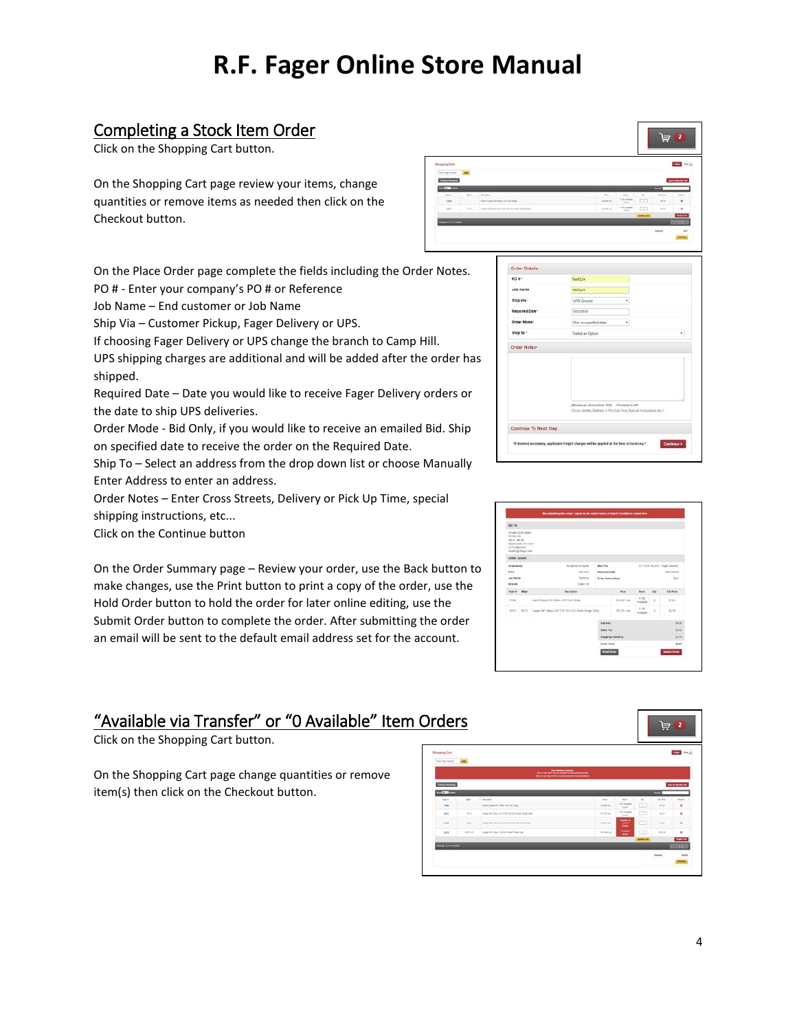### <span id="page-3-0"></span>Completing a Stock Item Order

Click on the Shopping Cart button.

On the Shopping Cart page review your items, change quantities or remove items as needed then click on the Checkout button.

On the Place Order page complete the fields including the Order Notes. PO # - Enter your company's PO # or Reference

Job Name – End customer or Job Name

Ship Via – Customer Pickup, Fager Delivery or UPS.

If choosing Fager Delivery or UPS change the branch to Camp Hill.

UPS shipping charges are additional and will be added after the order has shipped.

Required Date – Date you would like to receive Fager Delivery orders or the date to ship UPS deliveries.

Order Mode - Bid Only, if you would like to receive an emailed Bid. Ship on specified date to receive the order on the Required Date.

Ship To – Select an address from the drop down list or choose Manually Enter Address to enter an address.

Order Notes – Enter Cross Streets, Delivery or Pick Up Time, special shipping instructions, etc...

Click on the Continue button

On the Order Summary page – Review your order, use the Back button to make changes, use the Print button to print a copy of the order, use the Hold Order button to hold the order for later online editing, use the Submit Order button to complete the order. After submitting the order an email will be sent to the default email address set for the account.

### <span id="page-3-1"></span>"Available via Transfer" or "0 Available" Item Orders

Click on the Shopping Cart button.

On the Shopping Cart page change quantities or remove item(s) then click on the Checkout button.



|                                        |                                                                                             | $^{12}$   | $rac{1}{2}$             | $\sim$                                                                                                                                           | be tree       |            |
|----------------------------------------|---------------------------------------------------------------------------------------------|-----------|-------------------------|--------------------------------------------------------------------------------------------------------------------------------------------------|---------------|------------|
| <b>SF Stee 19 Set 1966</b>             |                                                                                             | 31 mil 14 | Ltd open.<br>Once       | œ                                                                                                                                                | print         | u          |
| less link (TW (B)/InCrOss Foral stres- |                                                                                             | \$1.00 mm | USE autom<br><b>Use</b> | $+$                                                                                                                                              | 94.73         |            |
|                                        |                                                                                             |           |                         | <b>Spinster</b> Start                                                                                                                            |               |            |
|                                        |                                                                                             |           |                         |                                                                                                                                                  | <b>Summer</b> | si e       |
|                                        |                                                                                             |           |                         | $\label{eq:1} \begin{split} \mathcal{L}_{\text{max}}(\mathcal{L}_{\text{max}}) = \mathcal{L}_{\text{max}}(\mathcal{L}_{\text{max}}) \end{split}$ |               |            |
|                                        |                                                                                             |           |                         |                                                                                                                                                  |               |            |
|                                        |                                                                                             |           |                         |                                                                                                                                                  |               |            |
|                                        |                                                                                             |           |                         |                                                                                                                                                  |               |            |
| Order Details                          |                                                                                             |           |                         |                                                                                                                                                  |               |            |
| PO 8 °                                 | Teat1234                                                                                    |           |                         |                                                                                                                                                  |               |            |
| Job Name                               | Sept1234                                                                                    |           |                         |                                                                                                                                                  |               |            |
| Ship Via                               | UPS Greate                                                                                  |           | ٠                       |                                                                                                                                                  |               |            |
| Required Date*                         | 13/03/2018                                                                                  |           |                         |                                                                                                                                                  |               |            |
|                                        |                                                                                             |           |                         |                                                                                                                                                  |               |            |
| Order Mode <sup>-</sup>                | Ship on specified date.                                                                     |           | ٠                       |                                                                                                                                                  |               |            |
| Ship To -                              | Select an Option                                                                            |           |                         |                                                                                                                                                  |               | ٠          |
| Order Notes-                           |                                                                                             |           |                         |                                                                                                                                                  |               |            |
|                                        |                                                                                             |           |                         |                                                                                                                                                  |               |            |
|                                        |                                                                                             |           |                         |                                                                                                                                                  |               |            |
|                                        |                                                                                             |           |                         |                                                                                                                                                  |               |            |
|                                        |                                                                                             |           |                         |                                                                                                                                                  |               |            |
|                                        |                                                                                             |           |                         |                                                                                                                                                  |               |            |
|                                        |                                                                                             |           |                         |                                                                                                                                                  |               |            |
|                                        | (Maximum characters: 200) Characters left                                                   |           |                         |                                                                                                                                                  |               |            |
|                                        | (Oras: stretts, Delivery or Pick Up Time, Special Instructions, etc.)                       |           |                         |                                                                                                                                                  |               |            |
|                                        |                                                                                             |           |                         |                                                                                                                                                  |               |            |
| Continue To Next Step                  |                                                                                             |           |                         |                                                                                                                                                  |               |            |
|                                        | "If deemed secondary, applicable freight charges will be applied at the time of invoicing." |           |                         |                                                                                                                                                  |               | Continue > |

| Hit To                                            |                                                                |                                                   |                         |                           |                                           |          |                              |  |
|---------------------------------------------------|----------------------------------------------------------------|---------------------------------------------------|-------------------------|---------------------------|-------------------------------------------|----------|------------------------------|--|
| <b>BC Box 86</b><br><b>HAKAR</b><br>DYDS MAILDING | Forest Sock Apkin<br>Moore your, yet 123.67<br>sayangetayo Jon |                                                   |                         |                           |                                           |          |                              |  |
| Order Details                                     |                                                                |                                                   |                         |                           |                                           |          |                              |  |
| <b>Ordered By</b>                                 |                                                                | Acriaer facer Acrier                              | Stop Via                |                           |                                           |          | 67 OUR FRUCK - Facer Delsero |  |
| 804                                               | <b>TearCZSA</b>                                                |                                                   |                         | <b>Required Sate</b>      |                                           |          | DECREAN                      |  |
|                                                   | <b>Job Noine</b><br><b>StartLtM</b>                            |                                                   |                         | <b>Order Instructions</b> |                                           |          | <b>Sed</b>                   |  |
| Stands                                            |                                                                | Card 158                                          |                         |                           |                                           |          | w                            |  |
| <b>Fayer # Mig #</b>                              |                                                                | <b>Designation</b>                                |                         | <b>Bitle</b>              | <b>North</b>                              | $\infty$ | <b>Cut Britis</b>            |  |
| 17416                                             |                                                                | report Dasser VI * Elkini, 3/4" CH2 2580          |                         | <b>BLMV/48</b>            | 1.792<br><b><i><u>Pursuisting</u></i></b> | ż        | \$1.34                       |  |
| robn3                                             |                                                                | MAIL Colombia Chevy Safe Profit and Chev Room May |                         | \$1,275,7mg               | 1,155<br>Avenue                           | Cd.      | turb.                        |  |
|                                                   |                                                                |                                                   | Subsidiary              |                           |                                           |          | \$6.00                       |  |
|                                                   |                                                                |                                                   | <b>Sales Tax</b>        |                           |                                           |          | \$5.00                       |  |
|                                                   |                                                                |                                                   | <b>Shipping Hondore</b> |                           |                                           |          | \$1.30                       |  |
|                                                   |                                                                |                                                   | <b>Destac Road</b>      |                           |                                           |          | \$6.87                       |  |
|                                                   |                                                                |                                                   | <b>HIGHWAY</b>          |                           |                                           |          | <b>Bullet Order</b>          |  |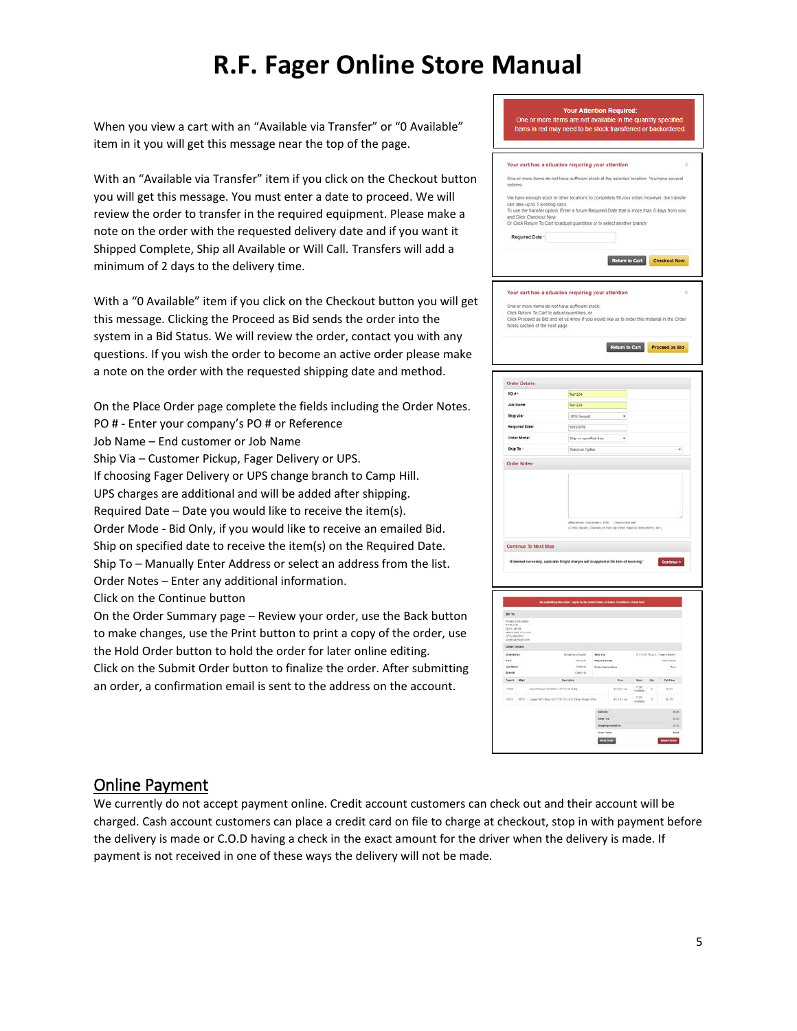When you view a cart with an "Available via Transfer" or "0 Available" item in it you will get this message near the top of the page.

With an "Available via Transfer" item if you click on the Checkout button you will get this message. You must enter a date to proceed. We will review the order to transfer in the required equipment. Please make a note on the order with the requested delivery date and if you want it Shipped Complete, Ship all Available or Will Call. Transfers will add a minimum of 2 days to the delivery time.

With a "0 Available" item if you click on the Checkout button you will get this message. Clicking the Proceed as Bid sends the order into the system in a Bid Status. We will review the order, contact you with any questions. If you wish the order to become an active order please make a note on the order with the requested shipping date and method.

On the Place Order page complete the fields including the Order Notes. PO # - Enter your company's PO # or Reference Job Name – End customer or Job Name Ship Via – Customer Pickup, Fager Delivery or UPS. If choosing Fager Delivery or UPS change branch to Camp Hill. UPS charges are additional and will be added after shipping. Required Date – Date you would like to receive the item(s). Order Mode - Bid Only, if you would like to receive an emailed Bid. Ship on specified date to receive the item(s) on the Required Date. Ship To – Manually Enter Address or select an address from the list. Order Notes – Enter any additional information.

Click on the Continue button

On the Order Summary page – Review your order, use the Back button to make changes, use the Print button to print a copy of the order, use the Hold Order button to hold the order for later online editing. Click on the Submit Order button to finalize the order. After submitting an order, a confirmation email is sent to the address on the account.

|                                                                                                                                                                                                                                                                           | <b>Your Attention Required:</b><br>One or more items are not available in the quantity specified.<br>Items in red may need to be stock transferred or backordered.                                                                                                                          |            |
|---------------------------------------------------------------------------------------------------------------------------------------------------------------------------------------------------------------------------------------------------------------------------|---------------------------------------------------------------------------------------------------------------------------------------------------------------------------------------------------------------------------------------------------------------------------------------------|------------|
|                                                                                                                                                                                                                                                                           | Your cart has a situation requiring your attention                                                                                                                                                                                                                                          | ×          |
|                                                                                                                                                                                                                                                                           | One or more items do not have sufficient stock at the selected location. You have several                                                                                                                                                                                                   |            |
| options:<br>can take up to 5 working days.<br>and Click Checkout Now                                                                                                                                                                                                      | We have enough stock in other locations to completely fill your order, however, the transfer<br>To use the transfer option, Enter a future Required Date that is more than 5 days from now<br>Or Click Return To Cart to adjust quantities or to select another branch                      |            |
| Required Date -                                                                                                                                                                                                                                                           |                                                                                                                                                                                                                                                                                             |            |
|                                                                                                                                                                                                                                                                           | m to Cart<br>Checkout Now                                                                                                                                                                                                                                                                   |            |
| Notes section of the next page.                                                                                                                                                                                                                                           | Your cart has a situation requiring your attention<br>One or more items do not have sufficient stock.<br>Click Return To Cart to adjust quantities, or<br>Click Proceed as Bid and let us know if you would like us to order this material in the Order<br>Return to Cart<br>Proceed as Bid | ×          |
| Order Details                                                                                                                                                                                                                                                             |                                                                                                                                                                                                                                                                                             |            |
| PO #+                                                                                                                                                                                                                                                                     | <b>Texn254</b><br>ı                                                                                                                                                                                                                                                                         |            |
| Job Name                                                                                                                                                                                                                                                                  | Text1254                                                                                                                                                                                                                                                                                    |            |
| Ship Via -                                                                                                                                                                                                                                                                | UPS Ground<br>٠                                                                                                                                                                                                                                                                             |            |
| <b>Required Date</b>                                                                                                                                                                                                                                                      | 10102210                                                                                                                                                                                                                                                                                    |            |
|                                                                                                                                                                                                                                                                           |                                                                                                                                                                                                                                                                                             |            |
| Order Mode <sup>+</sup>                                                                                                                                                                                                                                                   | ٠                                                                                                                                                                                                                                                                                           |            |
|                                                                                                                                                                                                                                                                           | Ship on specified date                                                                                                                                                                                                                                                                      | í.         |
| Ship To -                                                                                                                                                                                                                                                                 | Select an Option                                                                                                                                                                                                                                                                            |            |
|                                                                                                                                                                                                                                                                           | enon zwearnes: 200)<br>à theatr, Dolvely or PCC<br><b>Charach</b><br>Up Tana<br>es vet<br>Special Instructors, etc.)                                                                                                                                                                        |            |
|                                                                                                                                                                                                                                                                           | ed necessary, apparate treight cr<br>at the time of invoicing."                                                                                                                                                                                                                             | Continue > |
| .<br>Grae                                                                                                                                                                                                                                                                 |                                                                                                                                                                                                                                                                                             |            |
| w. ny                                                                                                                                                                                                                                                                     | up Via<br>r.kon<br>term<br><b>Required Sub</b><br>matoria                                                                                                                                                                                                                                   |            |
|                                                                                                                                                                                                                                                                           | <b>Stacking</b><br>Order Instructs<br>in in                                                                                                                                                                                                                                                 |            |
|                                                                                                                                                                                                                                                                           | fic Plus<br>no.                                                                                                                                                                                                                                                                             |            |
|                                                                                                                                                                                                                                                                           | irstram<br>xxcoca<br>1134<br>\$1,555 FM<br>a,<br>×                                                                                                                                                                                                                                          |            |
| ter Co                                                                                                                                                                                                                                                                    | 1,155<br>0.357 m<br>tich.<br>a partition due de                                                                                                                                                                                                                                             |            |
|                                                                                                                                                                                                                                                                           |                                                                                                                                                                                                                                                                                             |            |
| <b>Order Notes</b><br>Continue To Next Step<br>B131<br>lipoat (olf Apho<br>PC Bix 88<br>Will all all III<br>Mart Will IVI 175<br>1775 Walcolo<br>Order Ont<br>104<br>Job Norva<br>swa<br>$\mathcal{E}_{\text{opt}}(t) = \mathcal{E}_{\text{opt}}(t)$<br>17438<br>mn ms of |                                                                                                                                                                                                                                                                                             |            |

### <span id="page-4-0"></span>Online Payment

We currently do not accept payment online. Credit account customers can check out and their account will be charged. Cash account customers can place a credit card on file to charge at checkout, stop in with payment before the delivery is made or C.O.D having a check in the exact amount for the driver when the delivery is made. If payment is not received in one of these ways the delivery will not be made.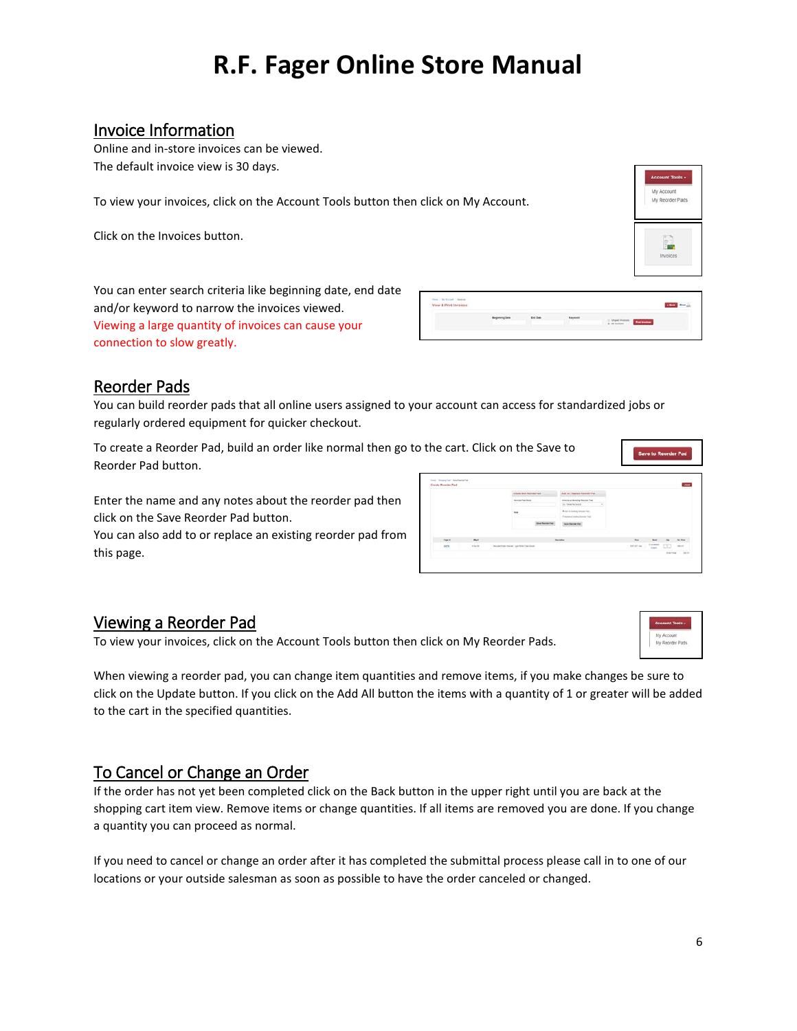### <span id="page-5-0"></span>Invoice Information

Online and in-store invoices can be viewed. The default invoice view is 30 days.

To view your invoices, click on the Account Tools button then click on My Account.

Click on the Invoices button.

You can enter search criteria like beginning date, end date and/or keyword to narrow the invoices viewed. Viewing a large quantity of invoices can cause your connection to slow greatly.

| View & Print Invoices |  |                                  |  |
|-----------------------|--|----------------------------------|--|
|                       |  | .<br><b>Ind Irentians</b>        |  |
|                       |  | 70006600<br>all responses to the |  |

My Reorder Pads

#### <span id="page-5-1"></span>Reorder Pads

You can build reorder pads that all online users assigned to your account can access for standardized jobs or regularly ordered equipment for quicker checkout.

To create a Reorder Pad, build an order like normal then go to the cart. Click on the Save to Reorder Pad button.

Enter the name and any notes about the reorder pad then click on the Save Reorder Pad button.

You can also add to or replace an existing reorder pad from this page.

|               |          | Create New York Park                                     | Add To I Healthca Resorter Park                                 |                                                                   |                 |              |
|---------------|----------|----------------------------------------------------------|-----------------------------------------------------------------|-------------------------------------------------------------------|-----------------|--------------|
|               |          | <b>Rening Port Role</b><br>the product of the control of | Shores or Groing Roman Pair<br>in teachings.                    |                                                                   |                 |              |
|               |          | <b>Service</b>                                           | Water in London, from the First<br>6-looper (with planning Tai) |                                                                   |                 |              |
|               |          | <b>Star Season Pat</b>                                   | <b>Bare former Pad</b>                                          |                                                                   |                 |              |
| <b>Tape E</b> | The Mary |                                                          | <b>Technical</b>                                                | <b>Bus</b>                                                        | Box 24 - Saltan |              |
| 42%           | er te im | - This deriver (there) I go finds Carl Suite             |                                                                 | $\mu$ process $\frac{1}{2}$ and $\frac{1}{2}$ . The $\frac{1}{2}$ |                 | <b>BRITT</b> |

### <span id="page-5-2"></span>Viewing a Reorder Pad

To view your invoices, click on the Account Tools button then click on My Reorder Pads.

When viewing a reorder pad, you can change item quantities and remove items, if you make changes be sure to click on the Update button. If you click on the Add All button the items with a quantity of 1 or greater will be added to the cart in the specified quantities.

### <span id="page-5-3"></span>To Cancel or Change an Order

If the order has not yet been completed click on the Back button in the upper right until you are back at the shopping cart item view. Remove items or change quantities. If all items are removed you are done. If you change a quantity you can proceed as normal.

If you need to cancel or change an order after it has completed the submittal process please call in to one of our locations or your outside salesman as soon as possible to have the order canceled or changed.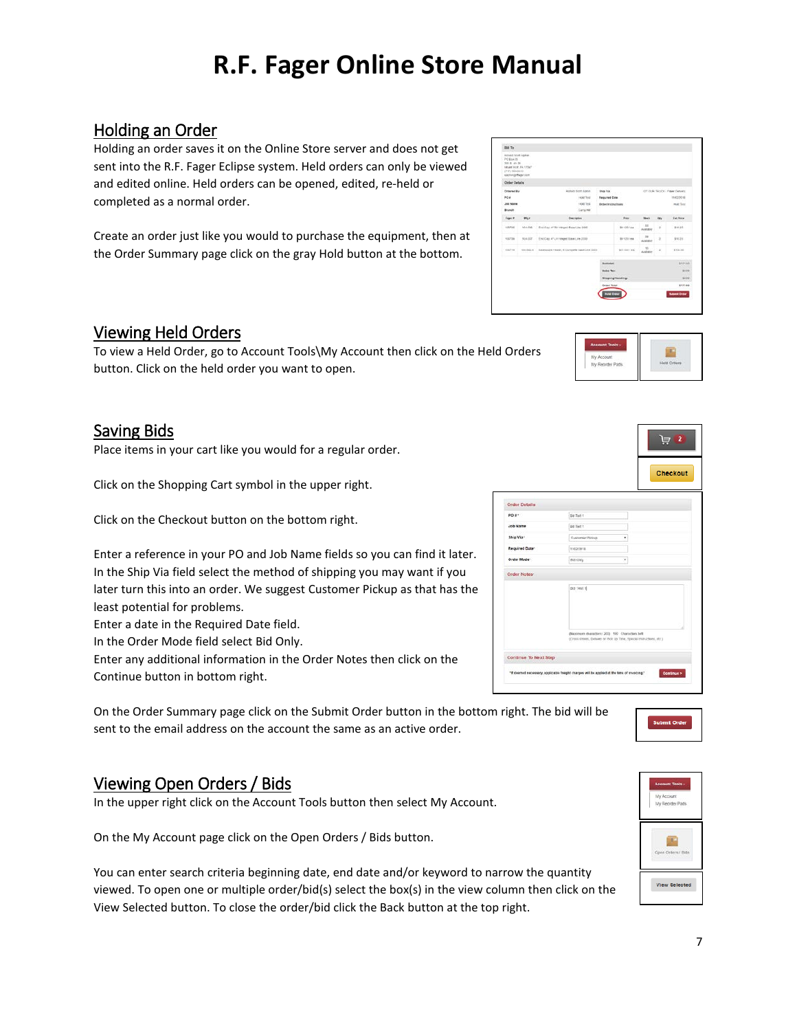### <span id="page-6-0"></span>Holding an Order

Holding an order saves it on the Online Store server and does not get sent into the R.F. Fager Eclipse system. Held orders can only be viewed and edited online. Held orders can be opened, edited, re-held or completed as a normal order.

Create an order just like you would to purchase the equipment, then at the Order Summary page click on the gray Hold button at the bottom.

### <span id="page-6-1"></span>Viewing Held Orders

To view a Held Order, go to Account Tools\My Account then click on the Held Orders button. Click on the held order you want to open.

### <span id="page-6-2"></span>Saving Bids

Place items in your cart like you would for a regular order.

Click on the Shopping Cart symbol in the upper right.

Click on the Checkout button on the bottom right.

Enter a reference in your PO and Job Name fields so you can find it later. In the Ship Via field select the method of shipping you may want if you later turn this into an order. We suggest Customer Pickup as that has the least potential for problems.

Enter a date in the Required Date field.

In the Order Mode field select Bid Only.

Enter any additional information in the Order Notes then click on the Continue button in bottom right.

On the Order Summary page click on the Submit Order button in the bottom right. The bid will be sent to the email address on the account the same as an active order.

### <span id="page-6-3"></span>Viewing Open Orders / Bids

In the upper right click on the Account Tools button then select My Account.

On the My Account page click on the Open Orders / Bids button.

You can enter search criteria beginning date, end date and/or keyword to narrow the quantity viewed. To open one or multiple order/bid(s) select the box(s) in the view column then click on the View Selected button. To close the order/bid click the Back button at the top right.





芦



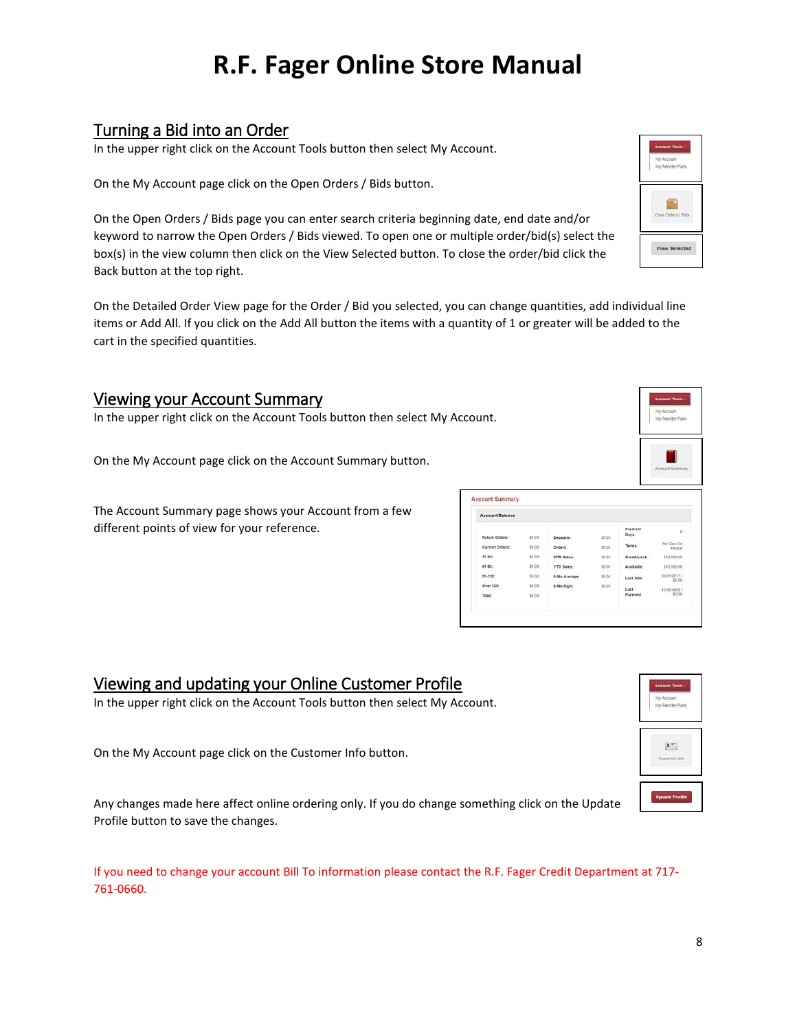### <span id="page-7-0"></span>Turning a Bid into an Order

In the upper right click on the Account Tools button then select My Account.

On the My Account page click on the Open Orders / Bids button.

On the Open Orders / Bids page you can enter search criteria beginning date, end date and/or keyword to narrow the Open Orders / Bids viewed. To open one or multiple order/bid(s) select the box(s) in the view column then click on the View Selected button. To close the order/bid click the Back button at the top right.

On the Detailed Order View page for the Order / Bid you selected, you can change quantities, add individual line items or Add All. If you click on the Add All button the items with a quantity of 1 or greater will be added to the cart in the specified quantities.

#### <span id="page-7-1"></span>Viewing your Account Summary

In the upper right click on the Account Tools button then select My Account.

On the My Account page click on the Account Summary button.

The Account Summary page shows your Account from a few different points of view for your reference.

| <b>Account Balance</b> |        |               |                  |                  |                        |
|------------------------|--------|---------------|------------------|------------------|------------------------|
| Future Crosses:        | \$0.00 | Deposits:     | \$0.00           | Payment<br>Days: | $\mathbf{0}$           |
| <b>Ourrent Orders:</b> | \$0.00 | Orders:       | \$0.00           | Terms:           | Net Due On<br>Invoice. |
| 31-80:                 | \$0.00 | MTD Soles     | 50.00            | Credit Limit     | \$10,000.00            |
| G1-DO:                 | \$0.00 | VTD Sales:    | \$0.00           | Available:       | \$10,000.00            |
| 91-120:                | \$0.00 | 6-Mo Average: | \$0.00           | Last Sale:       | 03/01/2017 /<br>\$0.00 |
| Over 120:              | 50.00  | 6-Mo High:    | \$0.00<br>$\sim$ | Last.            | 12/30/1699 /           |
| Total:                 | \$0.00 |               |                  | Payment          | \$0.00                 |

### <span id="page-7-2"></span>Viewing and updating your Online Customer Profile

In the upper right click on the Account Tools button then select My Account.

On the My Account page click on the Customer Info button.

Any changes made here affect online ordering only. If you do change something click on the Update Profile button to save the changes.

If you need to change your account Bill To information please contact the R.F. Fager Credit Department at 717- 761-0660.



| Account Tools -               |
|-------------------------------|
| My Account<br>My Reorder Pads |
|                               |
|                               |
|                               |
| Coen Orders / Bids            |
|                               |
|                               |
| <b>View Selected</b>          |